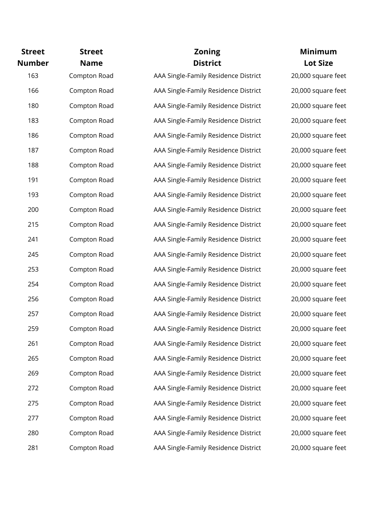| <b>Street</b><br><b>Number</b> | <b>Street</b><br><b>Name</b> | <b>Zoning</b><br><b>District</b>     | <b>Minimum</b><br><b>Lot Size</b> |
|--------------------------------|------------------------------|--------------------------------------|-----------------------------------|
| 163                            | Compton Road                 | AAA Single-Family Residence District | 20,000 square feet                |
| 166                            | Compton Road                 | AAA Single-Family Residence District | 20,000 square feet                |
| 180                            | Compton Road                 | AAA Single-Family Residence District | 20,000 square feet                |
| 183                            | Compton Road                 | AAA Single-Family Residence District | 20,000 square feet                |
| 186                            | Compton Road                 | AAA Single-Family Residence District | 20,000 square feet                |
| 187                            | Compton Road                 | AAA Single-Family Residence District | 20,000 square feet                |
| 188                            | Compton Road                 | AAA Single-Family Residence District | 20,000 square feet                |
| 191                            | Compton Road                 | AAA Single-Family Residence District | 20,000 square feet                |
| 193                            | Compton Road                 | AAA Single-Family Residence District | 20,000 square feet                |
| 200                            | Compton Road                 | AAA Single-Family Residence District | 20,000 square feet                |
| 215                            | Compton Road                 | AAA Single-Family Residence District | 20,000 square feet                |
| 241                            | Compton Road                 | AAA Single-Family Residence District | 20,000 square feet                |
| 245                            | Compton Road                 | AAA Single-Family Residence District | 20,000 square feet                |
| 253                            | Compton Road                 | AAA Single-Family Residence District | 20,000 square feet                |
| 254                            | Compton Road                 | AAA Single-Family Residence District | 20,000 square feet                |
| 256                            | Compton Road                 | AAA Single-Family Residence District | 20,000 square feet                |
| 257                            | Compton Road                 | AAA Single-Family Residence District | 20,000 square feet                |
| 259                            | Compton Road                 | AAA Single-Family Residence District | 20,000 square feet                |
| 261                            | Compton Road                 | AAA Single-Family Residence District | 20,000 square feet                |
| 265                            | Compton Road                 | AAA Single-Family Residence District | 20,000 square feet                |
| 269                            | Compton Road                 | AAA Single-Family Residence District | 20,000 square feet                |
| 272                            | Compton Road                 | AAA Single-Family Residence District | 20,000 square feet                |
| 275                            | Compton Road                 | AAA Single-Family Residence District | 20,000 square feet                |
| 277                            | Compton Road                 | AAA Single-Family Residence District | 20,000 square feet                |
| 280                            | Compton Road                 | AAA Single-Family Residence District | 20,000 square feet                |
| 281                            | Compton Road                 | AAA Single-Family Residence District | 20,000 square feet                |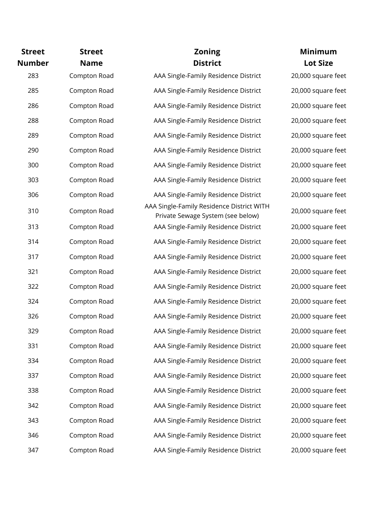| <b>Street</b> | <b>Street</b> | <b>Zoning</b>                                                                  | <b>Minimum</b>     |
|---------------|---------------|--------------------------------------------------------------------------------|--------------------|
| <b>Number</b> | <b>Name</b>   | <b>District</b>                                                                | <b>Lot Size</b>    |
| 283           | Compton Road  | AAA Single-Family Residence District                                           | 20,000 square feet |
| 285           | Compton Road  | AAA Single-Family Residence District                                           | 20,000 square feet |
| 286           | Compton Road  | AAA Single-Family Residence District                                           | 20,000 square feet |
| 288           | Compton Road  | AAA Single-Family Residence District                                           | 20,000 square feet |
| 289           | Compton Road  | AAA Single-Family Residence District                                           | 20,000 square feet |
| 290           | Compton Road  | AAA Single-Family Residence District                                           | 20,000 square feet |
| 300           | Compton Road  | AAA Single-Family Residence District                                           | 20,000 square feet |
| 303           | Compton Road  | AAA Single-Family Residence District                                           | 20,000 square feet |
| 306           | Compton Road  | AAA Single-Family Residence District                                           | 20,000 square feet |
| 310           | Compton Road  | AAA Single-Family Residence District WITH<br>Private Sewage System (see below) | 20,000 square feet |
| 313           | Compton Road  | AAA Single-Family Residence District                                           | 20,000 square feet |
| 314           | Compton Road  | AAA Single-Family Residence District                                           | 20,000 square feet |
| 317           | Compton Road  | AAA Single-Family Residence District                                           | 20,000 square feet |
| 321           | Compton Road  | AAA Single-Family Residence District                                           | 20,000 square feet |
| 322           | Compton Road  | AAA Single-Family Residence District                                           | 20,000 square feet |
| 324           | Compton Road  | AAA Single-Family Residence District                                           | 20,000 square feet |
| 326           | Compton Road  | AAA Single-Family Residence District                                           | 20,000 square feet |
| 329           | Compton Road  | AAA Single-Family Residence District                                           | 20,000 square feet |
| 331           | Compton Road  | AAA Single-Family Residence District                                           | 20,000 square feet |
| 334           | Compton Road  | AAA Single-Family Residence District                                           | 20,000 square feet |
| 337           | Compton Road  | AAA Single-Family Residence District                                           | 20,000 square feet |
| 338           | Compton Road  | AAA Single-Family Residence District                                           | 20,000 square feet |
| 342           | Compton Road  | AAA Single-Family Residence District                                           | 20,000 square feet |
| 343           | Compton Road  | AAA Single-Family Residence District                                           | 20,000 square feet |
| 346           | Compton Road  | AAA Single-Family Residence District                                           | 20,000 square feet |
| 347           | Compton Road  | AAA Single-Family Residence District                                           | 20,000 square feet |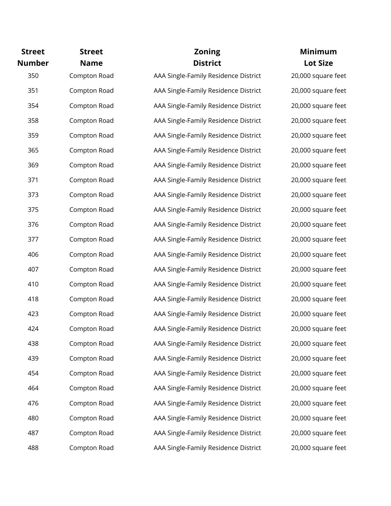| <b>Street</b><br><b>Number</b> | <b>Street</b><br><b>Name</b> | <b>Zoning</b><br><b>District</b>     | <b>Minimum</b><br><b>Lot Size</b> |
|--------------------------------|------------------------------|--------------------------------------|-----------------------------------|
| 350                            | Compton Road                 | AAA Single-Family Residence District | 20,000 square feet                |
| 351                            | Compton Road                 | AAA Single-Family Residence District | 20,000 square feet                |
| 354                            | Compton Road                 | AAA Single-Family Residence District | 20,000 square feet                |
| 358                            | Compton Road                 | AAA Single-Family Residence District | 20,000 square feet                |
| 359                            | Compton Road                 | AAA Single-Family Residence District | 20,000 square feet                |
| 365                            | Compton Road                 | AAA Single-Family Residence District | 20,000 square feet                |
| 369                            | Compton Road                 | AAA Single-Family Residence District | 20,000 square feet                |
| 371                            | Compton Road                 | AAA Single-Family Residence District | 20,000 square feet                |
| 373                            | Compton Road                 | AAA Single-Family Residence District | 20,000 square feet                |
| 375                            | Compton Road                 | AAA Single-Family Residence District | 20,000 square feet                |
| 376                            | Compton Road                 | AAA Single-Family Residence District | 20,000 square feet                |
| 377                            | Compton Road                 | AAA Single-Family Residence District | 20,000 square feet                |
| 406                            | Compton Road                 | AAA Single-Family Residence District | 20,000 square feet                |
| 407                            | Compton Road                 | AAA Single-Family Residence District | 20,000 square feet                |
| 410                            | Compton Road                 | AAA Single-Family Residence District | 20,000 square feet                |
| 418                            | Compton Road                 | AAA Single-Family Residence District | 20,000 square feet                |
| 423                            | Compton Road                 | AAA Single-Family Residence District | 20,000 square feet                |
| 424                            | Compton Road                 | AAA Single-Family Residence District | 20,000 square feet                |
| 438                            | Compton Road                 | AAA Single-Family Residence District | 20,000 square feet                |
| 439                            | Compton Road                 | AAA Single-Family Residence District | 20,000 square feet                |
| 454                            | Compton Road                 | AAA Single-Family Residence District | 20,000 square feet                |
| 464                            | Compton Road                 | AAA Single-Family Residence District | 20,000 square feet                |
| 476                            | Compton Road                 | AAA Single-Family Residence District | 20,000 square feet                |
| 480                            | Compton Road                 | AAA Single-Family Residence District | 20,000 square feet                |
| 487                            | Compton Road                 | AAA Single-Family Residence District | 20,000 square feet                |
| 488                            | Compton Road                 | AAA Single-Family Residence District | 20,000 square feet                |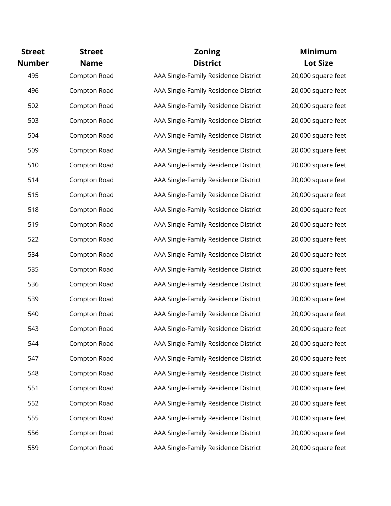| <b>Street</b><br><b>Number</b> | <b>Street</b><br><b>Name</b> | <b>Zoning</b><br><b>District</b>     | <b>Minimum</b><br><b>Lot Size</b> |
|--------------------------------|------------------------------|--------------------------------------|-----------------------------------|
| 495                            | Compton Road                 | AAA Single-Family Residence District | 20,000 square feet                |
| 496                            | Compton Road                 | AAA Single-Family Residence District | 20,000 square feet                |
| 502                            | Compton Road                 | AAA Single-Family Residence District | 20,000 square feet                |
| 503                            | Compton Road                 | AAA Single-Family Residence District | 20,000 square feet                |
| 504                            | Compton Road                 | AAA Single-Family Residence District | 20,000 square feet                |
| 509                            | Compton Road                 | AAA Single-Family Residence District | 20,000 square feet                |
| 510                            | Compton Road                 | AAA Single-Family Residence District | 20,000 square feet                |
| 514                            | Compton Road                 | AAA Single-Family Residence District | 20,000 square feet                |
| 515                            | Compton Road                 | AAA Single-Family Residence District | 20,000 square feet                |
| 518                            | Compton Road                 | AAA Single-Family Residence District | 20,000 square feet                |
| 519                            | Compton Road                 | AAA Single-Family Residence District | 20,000 square feet                |
| 522                            | Compton Road                 | AAA Single-Family Residence District | 20,000 square feet                |
| 534                            | Compton Road                 | AAA Single-Family Residence District | 20,000 square feet                |
| 535                            | Compton Road                 | AAA Single-Family Residence District | 20,000 square feet                |
| 536                            | Compton Road                 | AAA Single-Family Residence District | 20,000 square feet                |
| 539                            | Compton Road                 | AAA Single-Family Residence District | 20,000 square feet                |
| 540                            | Compton Road                 | AAA Single-Family Residence District | 20,000 square feet                |
| 543                            | Compton Road                 | AAA Single-Family Residence District | 20,000 square feet                |
| 544                            | Compton Road                 | AAA Single-Family Residence District | 20,000 square feet                |
| 547                            | Compton Road                 | AAA Single-Family Residence District | 20,000 square feet                |
| 548                            | Compton Road                 | AAA Single-Family Residence District | 20,000 square feet                |
| 551                            | Compton Road                 | AAA Single-Family Residence District | 20,000 square feet                |
| 552                            | Compton Road                 | AAA Single-Family Residence District | 20,000 square feet                |
| 555                            | Compton Road                 | AAA Single-Family Residence District | 20,000 square feet                |
| 556                            | Compton Road                 | AAA Single-Family Residence District | 20,000 square feet                |
| 559                            | Compton Road                 | AAA Single-Family Residence District | 20,000 square feet                |